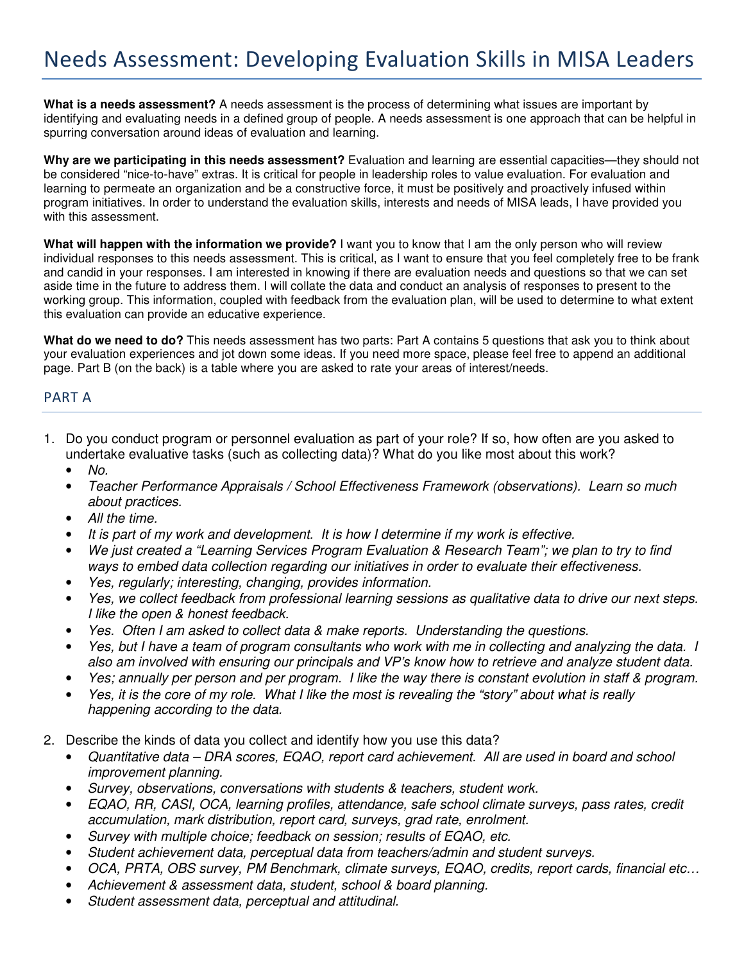**What is a needs assessment?** A needs assessment is the process of determining what issues are important by identifying and evaluating needs in a defined group of people. A needs assessment is one approach that can be helpful in spurring conversation around ideas of evaluation and learning.

**Why are we participating in this needs assessment?** Evaluation and learning are essential capacities—they should not be considered "nice-to-have" extras. It is critical for people in leadership roles to value evaluation. For evaluation and learning to permeate an organization and be a constructive force, it must be positively and proactively infused within program initiatives. In order to understand the evaluation skills, interests and needs of MISA leads, I have provided you with this assessment.

**What will happen with the information we provide?** I want you to know that I am the only person who will review individual responses to this needs assessment. This is critical, as I want to ensure that you feel completely free to be frank and candid in your responses. I am interested in knowing if there are evaluation needs and questions so that we can set aside time in the future to address them. I will collate the data and conduct an analysis of responses to present to the working group. This information, coupled with feedback from the evaluation plan, will be used to determine to what extent this evaluation can provide an educative experience.

**What do we need to do?** This needs assessment has two parts: Part A contains 5 questions that ask you to think about your evaluation experiences and jot down some ideas. If you need more space, please feel free to append an additional page. Part B (on the back) is a table where you are asked to rate your areas of interest/needs.

## PART A

- 1. Do you conduct program or personnel evaluation as part of your role? If so, how often are you asked to undertake evaluative tasks (such as collecting data)? What do you like most about this work?
	- *No.*
	- *Teacher Performance Appraisals / School Effectiveness Framework (observations). Learn so much about practices.*
	- *All the time.*
	- *It is part of my work and development. It is how I determine if my work is effective.*
	- *We just created a "Learning Services Program Evaluation & Research Team"; we plan to try to find ways to embed data collection regarding our initiatives in order to evaluate their effectiveness.*
	- *Yes, regularly; interesting, changing, provides information.*
	- *Yes, we collect feedback from professional learning sessions as qualitative data to drive our next steps. I like the open & honest feedback.*
	- *Yes. Often I am asked to collect data & make reports. Understanding the questions.*
	- *Yes, but I have a team of program consultants who work with me in collecting and analyzing the data. I also am involved with ensuring our principals and VP's know how to retrieve and analyze student data.*
	- *Yes; annually per person and per program. I like the way there is constant evolution in staff & program.*
	- *Yes, it is the core of my role. What I like the most is revealing the "story" about what is really happening according to the data.*
- 2. Describe the kinds of data you collect and identify how you use this data?
	- *Quantitative data DRA scores, EQAO, report card achievement. All are used in board and school improvement planning.*
	- *Survey, observations, conversations with students & teachers, student work.*
	- *EQAO, RR, CASI, OCA, learning profiles, attendance, safe school climate surveys, pass rates, credit accumulation, mark distribution, report card, surveys, grad rate, enrolment.*
	- *Survey with multiple choice; feedback on session; results of EQAO, etc.*
	- *Student achievement data, perceptual data from teachers/admin and student surveys.*
	- *OCA, PRTA, OBS survey, PM Benchmark, climate surveys, EQAO, credits, report cards, financial etc…*
	- *Achievement & assessment data, student, school & board planning.*
	- *Student assessment data, perceptual and attitudinal.*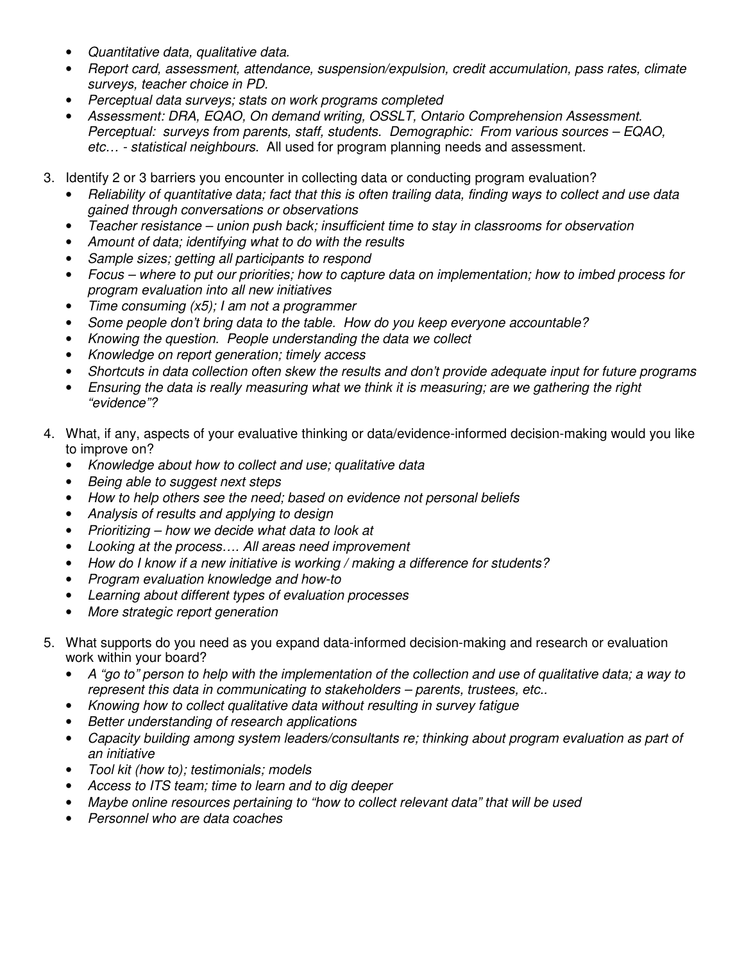- *Quantitative data, qualitative data.*
- *Report card, assessment, attendance, suspension/expulsion, credit accumulation, pass rates, climate surveys, teacher choice in PD.*
- *Perceptual data surveys; stats on work programs completed*
- *Assessment: DRA, EQAO, On demand writing, OSSLT, Ontario Comprehension Assessment. Perceptual: surveys from parents, staff, students. Demographic: From various sources – EQAO, etc… - statistical neighbours*. All used for program planning needs and assessment.
- 3. Identify 2 or 3 barriers you encounter in collecting data or conducting program evaluation?
	- *Reliability of quantitative data; fact that this is often trailing data, finding ways to collect and use data gained through conversations or observations*
	- *Teacher resistance union push back; insufficient time to stay in classrooms for observation*
	- *Amount of data; identifying what to do with the results*
	- *Sample sizes; getting all participants to respond*
	- *Focus where to put our priorities; how to capture data on implementation; how to imbed process for program evaluation into all new initiatives*
	- *Time consuming (x5); I am not a programmer*
	- *Some people don't bring data to the table. How do you keep everyone accountable?*
	- *Knowing the question. People understanding the data we collect*
	- *Knowledge on report generation; timely access*
	- *Shortcuts in data collection often skew the results and don't provide adequate input for future programs*
	- *Ensuring the data is really measuring what we think it is measuring; are we gathering the right "evidence"?*
- 4. What, if any, aspects of your evaluative thinking or data/evidence-informed decision-making would you like to improve on?
	- *Knowledge about how to collect and use; qualitative data*
	- *Being able to suggest next steps*
	- *How to help others see the need; based on evidence not personal beliefs*
	- *Analysis of results and applying to design*
	- *Prioritizing how we decide what data to look at*
	- *Looking at the process…. All areas need improvement*
	- *How do I know if a new initiative is working / making a difference for students?*
	- *Program evaluation knowledge and how-to*
	- *Learning about different types of evaluation processes*
	- *More strategic report generation*
- 5. What supports do you need as you expand data-informed decision-making and research or evaluation work within your board?
	- *A "go to" person to help with the implementation of the collection and use of qualitative data; a way to represent this data in communicating to stakeholders – parents, trustees, etc..*
	- *Knowing how to collect qualitative data without resulting in survey fatigue*
	- *Better understanding of research applications*
	- *Capacity building among system leaders/consultants re; thinking about program evaluation as part of an initiative*
	- *Tool kit (how to); testimonials; models*
	- *Access to ITS team; time to learn and to dig deeper*
	- *Maybe online resources pertaining to "how to collect relevant data" that will be used*
	- *Personnel who are data coaches*